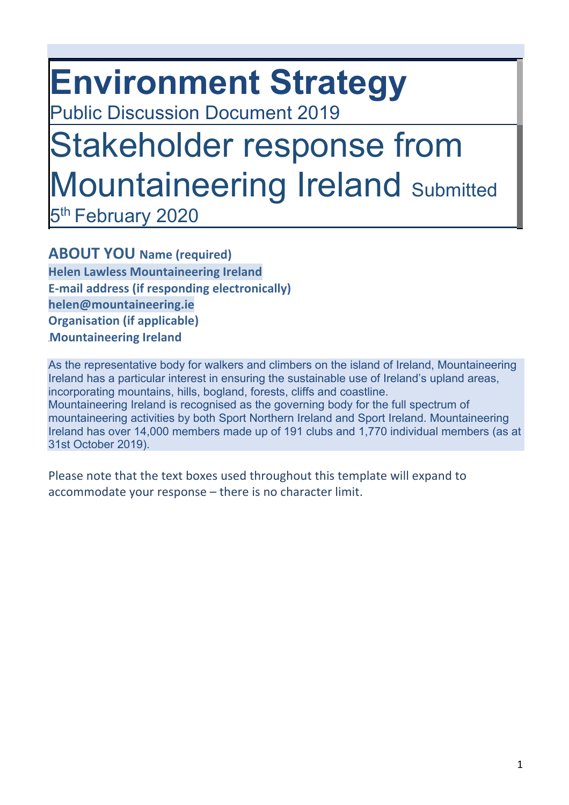# **Environment Strategy**

Public Discussion Document 2019

## Stakeholder response from Mountaineering Ireland Submitted 5<sup>th</sup> February 2020

**ABOUT YOU Name (required) Helen Lawless Mountaineering Ireland E-mail address (if responding electronically) helen@mountaineering.ie Organisation (if applicable)** 

**Mountaineering Ireland** 

As the representative body for walkers and climbers on the island of Ireland, Mountaineering Ireland has a particular interest in ensuring the sustainable use of Ireland's upland areas, incorporating mountains, hills, bogland, forests, cliffs and coastline. Mountaineering Ireland is recognised as the governing body for the full spectrum of mountaineering activities by both Sport Northern Ireland and Sport Ireland. Mountaineering Ireland has over 14,000 members made up of 191 clubs and 1,770 individual members (as at 31st October 2019).

Please note that the text boxes used throughout this template will expand to accommodate your response – there is no character limit.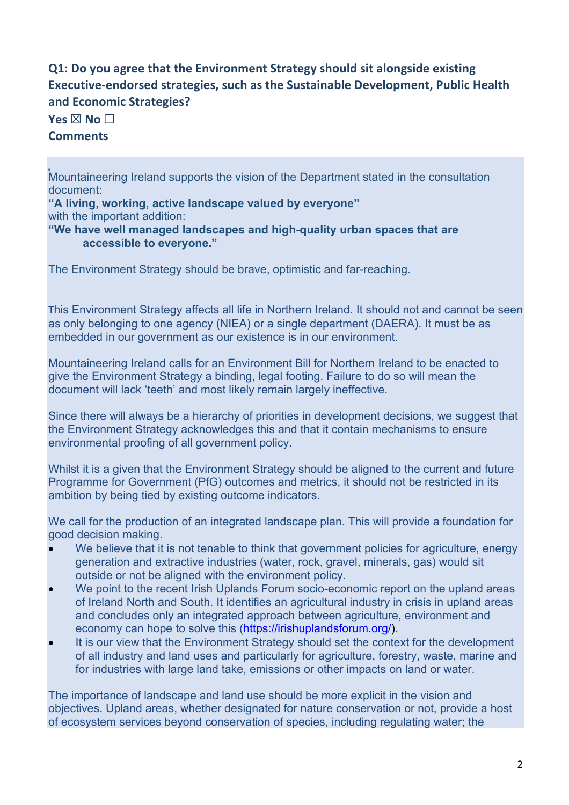### **Q1: Do you agree that the Environment Strategy should sit alongside existing Executive-endorsed strategies, such as the Sustainable Development, Public Health and Economic Strategies?**

**Yes ⊠ No □** 

#### **Comments**

Mountaineering Ireland supports the vision of the Department stated in the consultation document:

**"A living, working, active landscape valued by everyone"**  with the important addition:

**"We have well managed landscapes and high-quality urban spaces that are accessible to everyone."** 

The Environment Strategy should be brave, optimistic and far-reaching.

This Environment Strategy affects all life in Northern Ireland. It should not and cannot be seen as only belonging to one agency (NIEA) or a single department (DAERA). It must be as embedded in our government as our existence is in our environment.

Mountaineering Ireland calls for an Environment Bill for Northern Ireland to be enacted to give the Environment Strategy a binding, legal footing. Failure to do so will mean the document will lack 'teeth' and most likely remain largely ineffective.

Since there will always be a hierarchy of priorities in development decisions, we suggest that the Environment Strategy acknowledges this and that it contain mechanisms to ensure environmental proofing of all government policy.

Whilst it is a given that the Environment Strategy should be aligned to the current and future Programme for Government (PfG) outcomes and metrics, it should not be restricted in its ambition by being tied by existing outcome indicators.

We call for the production of an integrated landscape plan. This will provide a foundation for good decision making.

- We believe that it is not tenable to think that government policies for agriculture, energy generation and extractive industries (water, rock, gravel, minerals, gas) would sit outside or not be aligned with the environment policy.
- We point to the recent Irish Uplands Forum socio-economic report on the upland areas of Ireland North and South. It identifies an agricultural industry in crisis in upland areas and concludes only an integrated approach between agriculture, environment and economy can hope to solve this (https://irishuplandsforum.org/).
- It is our view that the Environment Strategy should set the context for the development of all industry and land uses and particularly for agriculture, forestry, waste, marine and for industries with large land take, emissions or other impacts on land or water.

The importance of landscape and land use should be more explicit in the vision and objectives. Upland areas, whether designated for nature conservation or not, provide a host of ecosystem services beyond conservation of species, including regulating water; the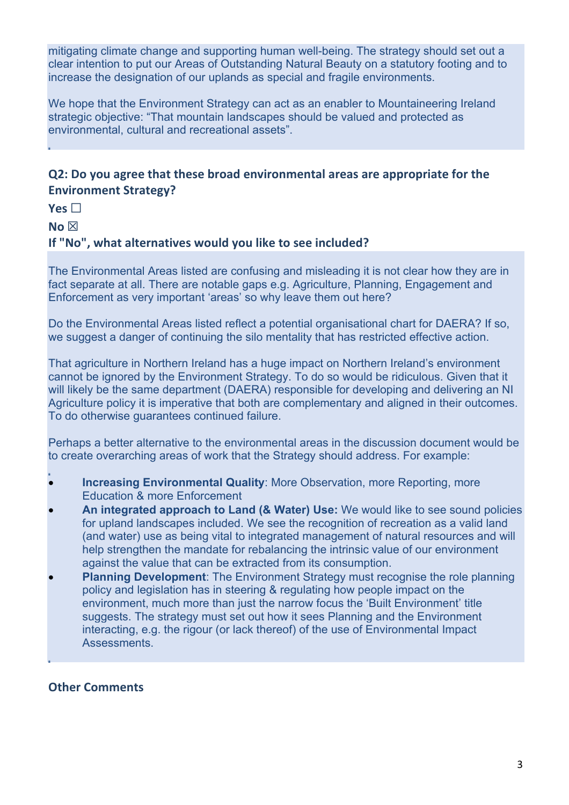mitigating climate change and supporting human well-being. The strategy should set out a clear intention to put our Areas of Outstanding Natural Beauty on a statutory footing and to increase the designation of our uplands as special and fragile environments.

We hope that the Environment Strategy can act as an enabler to Mountaineering Ireland strategic objective: "That mountain landscapes should be valued and protected as environmental, cultural and recreational assets".

#### **Q2: Do you agree that these broad environmental areas are appropriate for the Environment Strategy?**

**Yes** ☐

**No** ☒

#### **If "No", what alternatives would you like to see included?**

The Environmental Areas listed are confusing and misleading it is not clear how they are in fact separate at all. There are notable gaps e.g. Agriculture, Planning, Engagement and Enforcement as very important 'areas' so why leave them out here?

Do the Environmental Areas listed reflect a potential organisational chart for DAERA? If so, we suggest a danger of continuing the silo mentality that has restricted effective action.

That agriculture in Northern Ireland has a huge impact on Northern Ireland's environment cannot be ignored by the Environment Strategy. To do so would be ridiculous. Given that it will likely be the same department (DAERA) responsible for developing and delivering an NI Agriculture policy it is imperative that both are complementary and aligned in their outcomes. To do otherwise guarantees continued failure.

Perhaps a better alternative to the environmental areas in the discussion document would be to create overarching areas of work that the Strategy should address. For example:

- **Increasing Environmental Quality: More Observation, more Reporting, more** Education & more Enforcement
- **An integrated approach to Land (& Water) Use:** We would like to see sound policies for upland landscapes included. We see the recognition of recreation as a valid land (and water) use as being vital to integrated management of natural resources and will help strengthen the mandate for rebalancing the intrinsic value of our environment against the value that can be extracted from its consumption.
- **Planning Development**: The Environment Strategy must recognise the role planning policy and legislation has in steering & regulating how people impact on the environment, much more than just the narrow focus the 'Built Environment' title suggests. The strategy must set out how it sees Planning and the Environment interacting, e.g. the rigour (or lack thereof) of the use of Environmental Impact Assessments.

#### **Other Comments**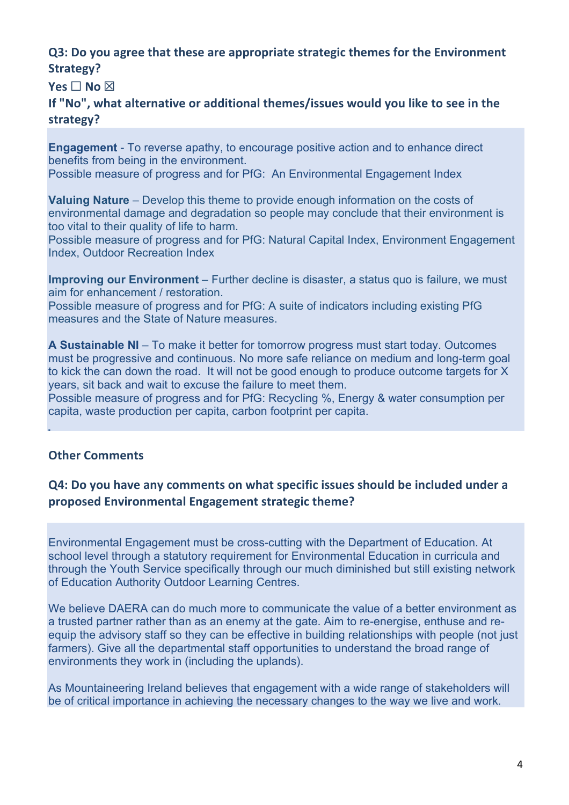#### **Q3: Do you agree that these are appropriate strategic themes for the Environment Strategy?**

**Yes** □ **No** ⊠

**If "No", what alternative or additional themes/issues would you like to see in the strategy?** 

**Engagement** - To reverse apathy, to encourage positive action and to enhance direct benefits from being in the environment.

Possible measure of progress and for PfG: An Environmental Engagement Index

**Valuing Nature** – Develop this theme to provide enough information on the costs of environmental damage and degradation so people may conclude that their environment is too vital to their quality of life to harm.

Possible measure of progress and for PfG: Natural Capital Index, Environment Engagement Index, Outdoor Recreation Index

**Improving our Environment** – Further decline is disaster, a status quo is failure, we must aim for enhancement / restoration.

Possible measure of progress and for PfG: A suite of indicators including existing PfG measures and the State of Nature measures.

**A Sustainable NI** – To make it better for tomorrow progress must start today. Outcomes must be progressive and continuous. No more safe reliance on medium and long-term goal to kick the can down the road. It will not be good enough to produce outcome targets for X years, sit back and wait to excuse the failure to meet them.

Possible measure of progress and for PfG: Recycling %, Energy & water consumption per capita, waste production per capita, carbon footprint per capita.

#### **Other Comments**

#### **Q4: Do you have any comments on what specific issues should be included under a proposed Environmental Engagement strategic theme?**

Environmental Engagement must be cross-cutting with the Department of Education. At school level through a statutory requirement for Environmental Education in curricula and through the Youth Service specifically through our much diminished but still existing network of Education Authority Outdoor Learning Centres.

We believe DAERA can do much more to communicate the value of a better environment as a trusted partner rather than as an enemy at the gate. Aim to re-energise, enthuse and reequip the advisory staff so they can be effective in building relationships with people (not just farmers). Give all the departmental staff opportunities to understand the broad range of environments they work in (including the uplands).

As Mountaineering Ireland believes that engagement with a wide range of stakeholders will be of critical importance in achieving the necessary changes to the way we live and work.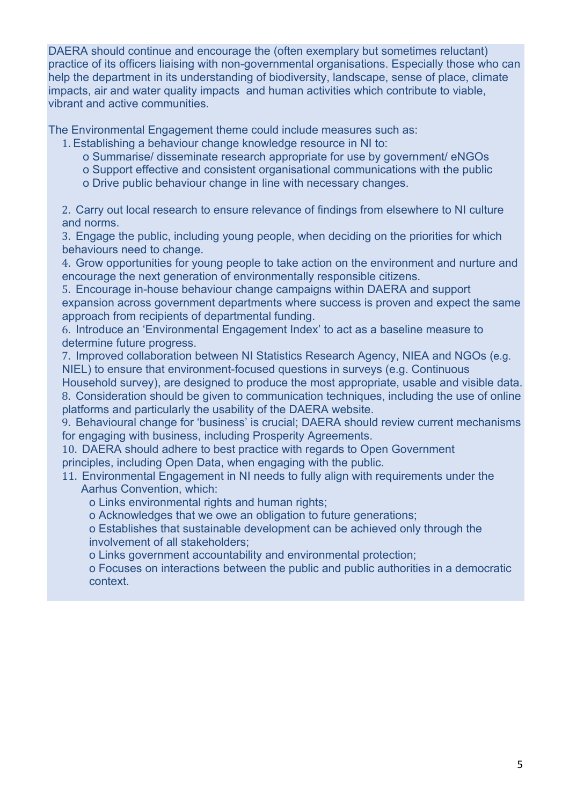DAERA should continue and encourage the (often exemplary but sometimes reluctant) practice of its officers liaising with non-governmental organisations. Especially those who can help the department in its understanding of biodiversity, landscape, sense of place, climate impacts, air and water quality impacts and human activities which contribute to viable, vibrant and active communities.

The Environmental Engagement theme could include measures such as:

- 1. Establishing a behaviour change knowledge resource in NI to:
	- o Summarise/ disseminate research appropriate for use by government/ eNGOs
	- o Support effective and consistent organisational communications with the public
	- o Drive public behaviour change in line with necessary changes.

2. Carry out local research to ensure relevance of findings from elsewhere to NI culture and norms.

3. Engage the public, including young people, when deciding on the priorities for which behaviours need to change.

4. Grow opportunities for young people to take action on the environment and nurture and encourage the next generation of environmentally responsible citizens.

5. Encourage in-house behaviour change campaigns within DAERA and support expansion across government departments where success is proven and expect the same approach from recipients of departmental funding.

6. Introduce an 'Environmental Engagement Index' to act as a baseline measure to determine future progress.

7. Improved collaboration between NI Statistics Research Agency, NIEA and NGOs (e.g. NIEL) to ensure that environment-focused questions in surveys (e.g. Continuous

Household survey), are designed to produce the most appropriate, usable and visible data. 8. Consideration should be given to communication techniques, including the use of online platforms and particularly the usability of the DAERA website.

9. Behavioural change for 'business' is crucial; DAERA should review current mechanisms for engaging with business, including Prosperity Agreements.

10. DAERA should adhere to best practice with regards to Open Government principles, including Open Data, when engaging with the public.

- 11. Environmental Engagement in NI needs to fully align with requirements under the Aarhus Convention, which:
	- o Links environmental rights and human rights;
	- o Acknowledges that we owe an obligation to future generations;

o Establishes that sustainable development can be achieved only through the involvement of all stakeholders;

o Links government accountability and environmental protection;

o Focuses on interactions between the public and public authorities in a democratic context.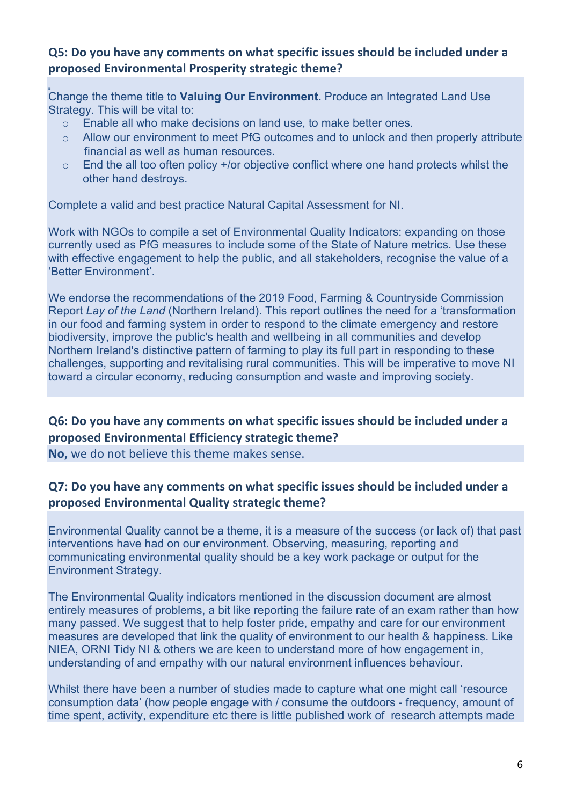#### **Q5: Do you have any comments on what specific issues should be included under a proposed Environmental Prosperity strategic theme?**

Change the theme title to **Valuing Our Environment.** Produce an Integrated Land Use Strategy. This will be vital to:

- o Enable all who make decisions on land use, to make better ones.
- o Allow our environment to meet PfG outcomes and to unlock and then properly attribute financial as well as human resources.
- $\circ$  End the all too often policy +/or objective conflict where one hand protects whilst the other hand destroys.

Complete a valid and best practice Natural Capital Assessment for NI.

Work with NGOs to compile a set of Environmental Quality Indicators: expanding on those currently used as PfG measures to include some of the State of Nature metrics. Use these with effective engagement to help the public, and all stakeholders, recognise the value of a 'Better Environment'.

We endorse the recommendations of the 2019 Food, Farming & Countryside Commission Report *Lay of the Land* (Northern Ireland). This report outlines the need for a 'transformation in our food and farming system in order to respond to the climate emergency and restore biodiversity, improve the public's health and wellbeing in all communities and develop Northern Ireland's distinctive pattern of farming to play its full part in responding to these challenges, supporting and revitalising rural communities. This will be imperative to move NI toward a circular economy, reducing consumption and waste and improving society.

#### **Q6: Do you have any comments on what specific issues should be included under a proposed Environmental Efficiency strategic theme?**

**No,** we do not believe this theme makes sense.

#### **Q7: Do you have any comments on what specific issues should be included under a proposed Environmental Quality strategic theme?**

Environmental Quality cannot be a theme, it is a measure of the success (or lack of) that past interventions have had on our environment. Observing, measuring, reporting and communicating environmental quality should be a key work package or output for the Environment Strategy.

The Environmental Quality indicators mentioned in the discussion document are almost entirely measures of problems, a bit like reporting the failure rate of an exam rather than how many passed. We suggest that to help foster pride, empathy and care for our environment measures are developed that link the quality of environment to our health & happiness. Like NIEA, ORNI Tidy NI & others we are keen to understand more of how engagement in, understanding of and empathy with our natural environment influences behaviour.

Whilst there have been a number of studies made to capture what one might call 'resource consumption data' (how people engage with / consume the outdoors - frequency, amount of time spent, activity, expenditure etc there is little published work of research attempts made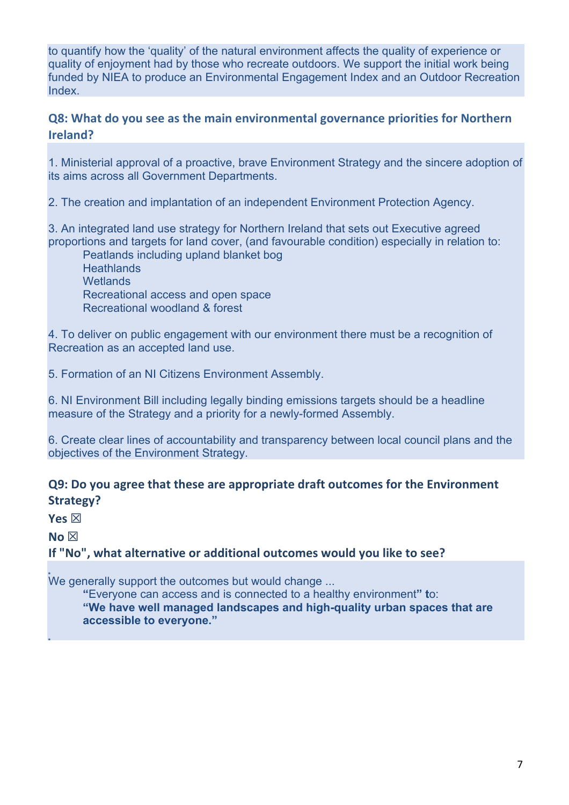to quantify how the 'quality' of the natural environment affects the quality of experience or quality of enjoyment had by those who recreate outdoors. We support the initial work being funded by NIEA to produce an Environmental Engagement Index and an Outdoor Recreation Index.

#### **Q8: What do you see as the main environmental governance priorities for Northern Ireland?**

1. Ministerial approval of a proactive, brave Environment Strategy and the sincere adoption of its aims across all Government Departments.

2. The creation and implantation of an independent Environment Protection Agency.

3. An integrated land use strategy for Northern Ireland that sets out Executive agreed proportions and targets for land cover, (and favourable condition) especially in relation to:

Peatlands including upland blanket bog **Heathlands Wetlands** Recreational access and open space Recreational woodland & forest

4. To deliver on public engagement with our environment there must be a recognition of Recreation as an accepted land use.

5. Formation of an NI Citizens Environment Assembly.

6. NI Environment Bill including legally binding emissions targets should be a headline measure of the Strategy and a priority for a newly-formed Assembly.

6. Create clear lines of accountability and transparency between local council plans and the objectives of the Environment Strategy.

#### **Q9: Do you agree that these are appropriate draft outcomes for the Environment Strategy?**

**Yes** ☒

**No** ☒

**If "No", what alternative or additional outcomes would you like to see?** 

We generally support the outcomes but would change ...

**"**Everyone can access and is connected to a healthy environment**" t**o: **"We have well managed landscapes and high-quality urban spaces that are** 

**accessible to everyone."**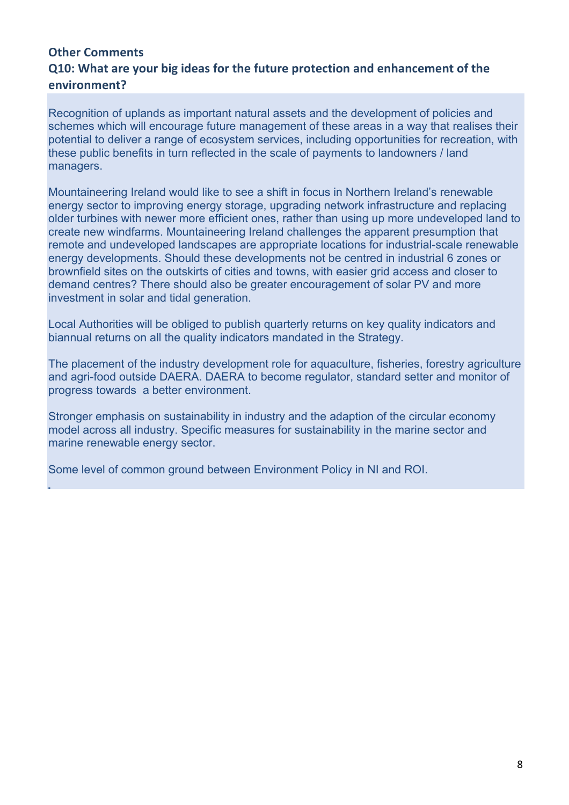#### **Other Comments Q10: What are your big ideas for the future protection and enhancement of the environment?**

Recognition of uplands as important natural assets and the development of policies and schemes which will encourage future management of these areas in a way that realises their potential to deliver a range of ecosystem services, including opportunities for recreation, with these public benefits in turn reflected in the scale of payments to landowners / land managers.

Mountaineering Ireland would like to see a shift in focus in Northern Ireland's renewable energy sector to improving energy storage, upgrading network infrastructure and replacing older turbines with newer more efficient ones, rather than using up more undeveloped land to create new windfarms. Mountaineering Ireland challenges the apparent presumption that remote and undeveloped landscapes are appropriate locations for industrial-scale renewable energy developments. Should these developments not be centred in industrial 6 zones or brownfield sites on the outskirts of cities and towns, with easier grid access and closer to demand centres? There should also be greater encouragement of solar PV and more investment in solar and tidal generation.

Local Authorities will be obliged to publish quarterly returns on key quality indicators and biannual returns on all the quality indicators mandated in the Strategy.

The placement of the industry development role for aquaculture, fisheries, forestry agriculture and agri-food outside DAERA. DAERA to become regulator, standard setter and monitor of progress towards a better environment.

Stronger emphasis on sustainability in industry and the adaption of the circular economy model across all industry. Specific measures for sustainability in the marine sector and marine renewable energy sector.

Some level of common ground between Environment Policy in NI and ROI.